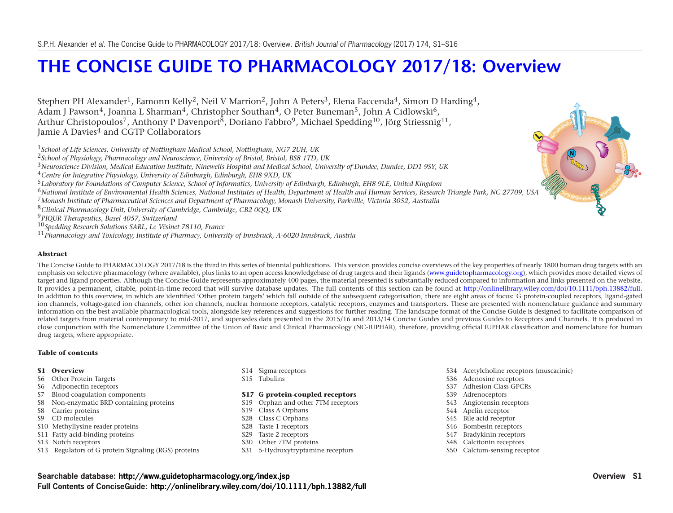# **[THE CONCISE GUIDE TO PHARMACOLOGY 2017/18: Overview](http://www.guidetopharmacology.org/GRAC/FamilyDisplayForward?familyId=864)**

Stephen PH Alexander<sup>1</sup>, Eamonn Kelly<sup>2</sup>, Neil V Marrion<sup>2</sup>, John A Peters<sup>3</sup>, Elena Faccenda<sup>4</sup>, Simon D Harding<sup>4</sup>, Adam J Pawson<sup>4</sup>, Joanna L Sharman<sup>4</sup>, Christopher Southan<sup>4</sup>, O Peter Buneman<sup>5</sup>, John A Cidlowski<sup>6</sup>, Arthur Christopoulos<sup>7</sup>, Anthony P Davenport<sup>8</sup>, Doriano Fabbro<sup>9</sup>, Michael Spedding<sup>10</sup>, Jörg Striessnig<sup>11</sup>, Jamie A Davies<sup>4</sup> and CGTP Collaborators

<sup>1</sup>*School of Life Sciences, University of Nottingham Medical School, Nottingham, NG7 2UH, UK*

<sup>2</sup>*School of Physiology, Pharmacology and Neuroscience, University of Bristol, Bristol, BS8 1TD, UK*

<sup>3</sup>*Neuroscience Division, Medical Education Institute, Ninewells Hospital and Medical School, University of Dundee, Dundee, DD1 9SY, UK*

<sup>4</sup>*Centre for Integrative Physiology, University of Edinburgh, Edinburgh, EH8 9XD, UK*

<sup>5</sup>*Laboratory for Foundations of Computer Science, School of Informatics, University of Edinburgh, Edinburgh, EH8 9LE, United Kingdom*

<sup>6</sup>*National Institute of Environmental Health Sciences, National Institutes of Health, Department of Health and Human Services, Research Triangle Park, NC 27709, USA*

<sup>7</sup>*Monash Institute of Pharmaceutical Sciences and Department of Pharmacology, Monash University, Parkville, Victoria 3052, Australia*

<sup>8</sup>*Clinical Pharmacology Unit, University of Cambridge, Cambridge, CB2 0QQ, UK*

<sup>9</sup>*PIQUR Therapeutics, Basel 4057, Switzerland*

<sup>10</sup>*Spedding Research Solutions SARL, Le Vésinet 78110, France*

<sup>11</sup>*Pharmacology and Toxicology, Institute of Pharmacy, University of Innsbruck, A-6020 Innsbruck, Austria*

#### **Abstract**

The Concise Guide to PHARMACOLOGY 2017/18 is the third in this series of biennial publications. This version provides concise overviews of the key properties of nearly 1800 human drug targets with an emphasis on selective pharmacology (where available), plus links to an open access knowledgebase of drug targets and their ligands [\(www.guidetopharmacology.org\)](www.guidetopharmacology.org), which provides more detailed views of target and ligand properties. Although the Concise Guide represents approximately 400 pages, the material presented is substantially reduced compared to information and links presented on the website. It provides a permanent, citable, point-in-time record that will survive database updates. The full contents of this section can be found at [http://onlinelibrary.wiley.com/doi/10.1111/bph.13882/full.](http://onlinelibrary.wiley.com/doi/10.1111/bph.13882/full) In addition to this overview, in which are identified 'Other protein targets' which fall outside of the subsequent categorisation, there are eight areas of focus: G protein-coupled receptors, ligand-gated ion channels, voltage-gated ion channels, other ion channels, nuclear hormone receptors, catalytic receptors, enzymes and transporters. These are presented with nomenclature guidance and summary information on the best available pharmacological tools, alongside key references and suggestions for further reading. The landscape format of the Concise Guide is designed to facilitate comparison of related targets from material contemporary to mid-2017, and supersedes data presented in the 2015/16 and 2013/14 Concise Guides and previous Guides to Receptors and Channels. It is produced in close conjunction with the Nomenclature Committee of the Union of Basic and Clinical Pharmacology (NC-IUPHAR), therefore, providing official IUPHAR classification and nomenclature for human drug targets, where appropriate.

#### **Table of contents**

#### **S1 Overview**

- S6 Other Protein Targets
- S6 Adiponectin receptors
- S7 Blood coagulation components
- S8 Non-enzymatic BRD containing proteins
- S8 Carrier proteins
- S9 CD molecules
- S10 Methyllysine reader proteins
- S11 Fatty acid-binding proteins
- S13 Notch receptors
- S13 Regulators of G protein Signaling (RGS) proteins
- S14 Sigma receptors
- S15 Tubulins

#### **S17 G protein-coupled receptors**

- S19 Orphan and other 7TM receptors
- S19 Class A Orphans
- S28 Class C Orphans
- S28 Taste 1 receptors
- S29 Taste 2 receptors
- S30 Other 7TM proteins
- S31 5-Hydroxytryptamine receptors
- S34 Acetylcholine receptors (muscarinic)
- S36 Adenosine receptors
- S37 Adhesion Class GPCRs
- S39 Adrenoceptors
- S43 Angiotensin receptors
- S44 Apelin receptor
- S45 Bile acid receptor
- S46 Bombesin receptors
- S47 Bradykinin receptors
- S48 Calcitonin receptors
- S50 Calcium-sensing receptor

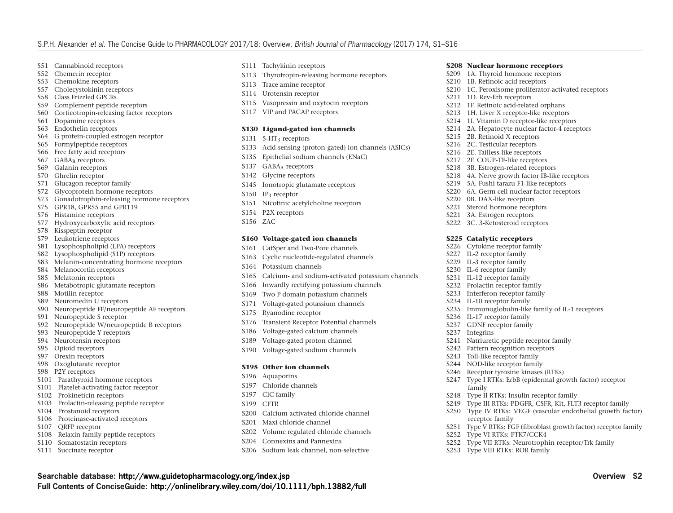- S51 Cannabinoid receptors
- S52 Chemerin receptor
- S53 Chemokine receptors
- S57 Cholecystokinin receptors
- S58 Class Frizzled GPCRs
- S59 Complement peptide receptors
- S60 Corticotropin-releasing factor receptors
- S61 Dopamine receptors
- S63 Endothelin receptors
- S64 G protein-coupled estrogen receptor
- S65 Formylpeptide receptors
- S66 Free fatty acid receptors
- S67 GABAR receptors
- S69 Galanin receptors
- S70 Ghrelin receptor
- S71 Glucagon receptor family
- S72 Glycoprotein hormone receptors
- S73 Gonadotrophin-releasing hormone receptors
- S75 GPR18, GPR55 and GPR119
- S76 Histamine receptors
- S77 Hydroxycarboxylic acid receptors
- S78 Kisspeptin receptor
- S79 Leukotriene receptors
- S81 Lysophospholipid (LPA) receptors
- S82 Lysophospholipid (S1P) receptors
- S83 Melanin-concentrating hormone receptors
- S84 Melanocortin receptors
- S85 Melatonin receptors
- S86 Metabotropic glutamate receptors
- S88 Motilin receptor
- S89 Neuromedin U receptors
- S90 Neuropeptide FF/neuropeptide AF receptors
- S91 Neuropeptide S receptor
- S92 Neuropeptide W/neuropeptide B receptors
- S93 Neuropeptide Y receptors
- S94 Neurotensin receptors
- S95 Opioid receptors
- S97 Orexin receptors
- S98 Oxoglutarate receptor
- S98 P2Y receptors
- S101 Parathyroid hormone receptors
- S101 Platelet-activating factor receptor
- S102 Prokineticin receptors
- S103 Prolactin-releasing peptide receptor
- S104 Prostanoid receptors
- S106 Proteinase-activated receptors
- S107 QRFP receptor
- S108 Relaxin family peptide receptors
- S110 Somatostatin receptors
- S111 Succinate receptor
- S111 Tachykinin receptors
- S113 Thyrotropin-releasing hormone receptors
- S113 Trace amine receptor
- S114 Urotensin receptor
- S115 Vasopressin and oxytocin receptors
- S117 VIP and PACAP receptors

#### **S130 Ligand-gated ion channels**

- S131 5-HT<sub>3</sub> receptors
- S133 Acid-sensing (proton-gated) ion channels (ASICs)
- S135 Epithelial sodium channels (ENaC)
- S137 GABAA receptors
- S142 Glycine receptors
- S145 Ionotropic glutamate receptors
- S150 IP<sub>3</sub> receptor
- S151 Nicotinic acetylcholine receptors
- S154 P2X receptors
- S156 ZAC

#### **S160 Voltage-gated ion channels**

- S161 CatSper and Two-Pore channels
- S163 Cyclic nucleotide-regulated channels
- S164 Potassium channels
- S165 Calcium- and sodium-activated potassium channels
- S166 Inwardly rectifying potassium channels
- S169 Two P domain potassium channels
- S171 Voltage-gated potassium channels
- S175 Ryanodine receptor
- S176 Transient Receptor Potential channels
- S186 Voltage-gated calcium channels
- S189 Voltage-gated proton channel
- S190 Voltage-gated sodium channels

#### **S195 Other ion channels**

- S196 Aquaporins
- S197 Chloride channels
- S197 ClC family
- S199 CFTR

**Full Contents of ConciseGuide: <http://onlinelibrary.wiley.com/doi/10.1111/bph.13882/full>**

- S200 Calcium activated chloride channel
- S201 Maxi chloride channel
- S202 Volume regulated chloride channels
- S204 Connexins and Pannexins
- S206 Sodium leak channel, non-selective

**Searchable database: <http://www.guidetopharmacology.org/index.jsp> Overview S2**

- **S208 Nuclear hormone receptors**
- S209 1A. Thyroid hormone receptors
- S210 1B. Retinoic acid receptors
- S210 1C. Peroxisome proliferator-activated receptors
- S211 1D. Rev-Erb receptors

S215 2B. Retinoid X receptors S216 2C. Testicular receptors S216 2E. Tailless-like receptors S217 2F. COUP-TF-like receptors S218 3B. Estrogen-related receptors

S220 0B. DAX-like receptors S221 Steroid hormone receptors S221 3A. Estrogen receptors S222 3C. 3-Ketosteroid receptors **S225 Catalytic receptors** S226 Cytokine receptor family S227 IL-2 receptor family S229 IL-3 receptor family S230 IL-6 receptor family S231 IL-12 receptor family S232 Prolactin receptor family S233 Interferon receptor family S234 IL-10 receptor family

S236 IL-17 receptor family S237 GDNF receptor family

S237 Integrins

family

receptor family

S252 Type VI RTKs: PTK7/CCK4

S253 Type VIII RTKs: ROR family

- S212 1F. Retinoic acid-related orphans
- S213 1H. Liver X receptor-like receptors
- S214 1I. Vitamin D receptor-like receptors
- S214 2A. Hepatocyte nuclear factor-4 receptors

S218 4A. Nerve growth factor IB-like receptors S219 5A. Fushi tarazu F1-like receptors S220 6A. Germ cell nuclear factor receptors

S235 Immunoglobulin-like family of IL-1 receptors

S247 Type I RTKs: ErbB (epidermal growth factor) receptor

S249 Type III RTKs: PDGFR, CSFR, Kit, FLT3 receptor family S250 Type IV RTKs: VEGF (vascular endothelial growth factor)

S252 Type VII RTKs: Neurotrophin receptor/Trk family

S251 Type V RTKs: FGF (fibroblast growth factor) receptor family

S241 Natriuretic peptide receptor family S242 Pattern recognition receptors S243 Toll-like receptor family S244 NOD-like receptor family S246 Receptor tyrosine kinases (RTKs)

S248 Type II RTKs: Insulin receptor family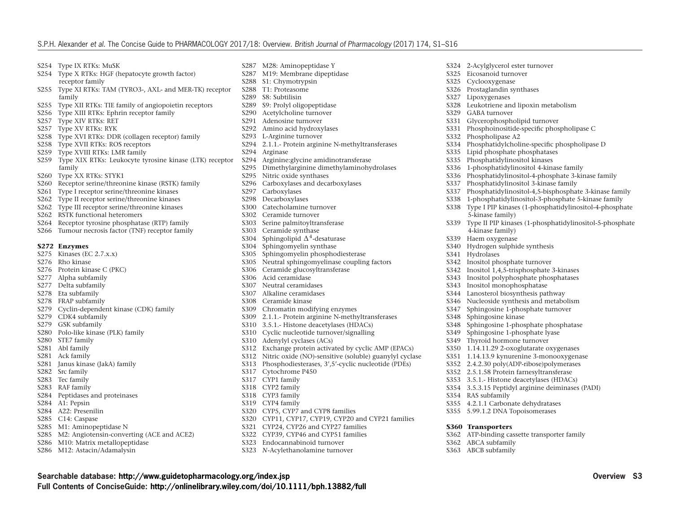- S254 Type IX RTKs: MuSK
- S254 Type X RTKs: HGF (hepatocyte growth factor) receptor family
- S255 Type XI RTKs: TAM (TYRO3-, AXL- and MER-TK) receptor family
- S255 Type XII RTKs: TIE family of angiopoietin receptors
- S256 Type XIII RTKs: Ephrin receptor family
- S257 Type XIV RTKs: RET
- S257 Type XV RTKs: RYK
- S258 Type XVI RTKs: DDR (collagen receptor) family
- S258 Type XVII RTKs: ROS receptors
- S259 Type XVIII RTKs: LMR family
- S259 Type XIX RTKs: Leukocyte tyrosine kinase (LTK) receptor family
- S260 Type XX RTKs: STYK1
- S260 Receptor serine/threonine kinase (RSTK) family
- S261 Type I receptor serine/threonine kinases
- S262 Type II receptor serine/threonine kinases
- S262 Type III receptor serine/threonine kinases
- S262 RSTK functional heteromers
- S264 Receptor tyrosine phosphatase (RTP) family
- S266 Tumour necrosis factor (TNF) receptor family

#### **S272 Enzymes**

- S275 Kinases (EC 2.7.x.x)
- S276 Rho kinase
- S276 Protein kinase C (PKC)
- S277 Alpha subfamily
- S277 Delta subfamily
- S278 Eta subfamily
- S278 FRAP subfamily
- S279 Cyclin-dependent kinase (CDK) family
- S279 CDK4 subfamily
- S279 GSK subfamily
- S280 Polo-like kinase (PLK) family
- S280 STE7 family
- S281 Abl family
- S281 Ack family
- S281 Janus kinase (JakA) family
- S282 Src family
- S283 Tec family
- S283 RAF family
- S284 Peptidases and proteinases
- S284 A1: Pepsin
- S284 A22: Presenilin
- S285 C14: Caspase
- S285 M1: Aminopeptidase N
- S285 M2: Angiotensin-converting (ACE and ACE2)
- S286 M10: Matrix metallopeptidase
- S286 M12: Astacin/Adamalysin
- S287 M28: Aminopeptidase Y
- S287 M19: Membrane dipeptidase<br>S288 S1: Chymotrypsin
- S1: Chymotrypsin
- S288 T1: Proteasome
- S289 S8: Subtilisin
- S289 S9: Prolyl oligopeptidase<br>S290 Acetylcholine turnover
- Acetylcholine turnover
- S291 Adenosine turnover
- S292 Amino acid hydroxylases<br>S293 L-Arginine turnover L-Arginine turnover
- 
- S294 2.1.1.- Protein arginine N-methyltransferases
- S294 Arginase
- Arginine: glycine amidinotransferase
- S295 Dimethylarginine dimethylaminohydrolases
- S295 Nitric oxide synthases
- S296 Carboxylases and decarboxylases
- S297 Carboxylases
- S298 Decarboxylases<br>S300 Catecholamine
- Catecholamine turnover
- S302 Ceramide turnover
- S303 Serine palmitoyltransferase
- S303 Ceramide synthase
- S304 Sphingolipid  $\Delta^4$ -desaturase
- S304 Sphingomyelin synthase<br>S305 Sphingomyelin phospho
- Sphingomyelin phosphodiesterase
- S305 Neutral sphingomyelinase coupling factors
- S306 Ceramide glucosyltransferase
- S306 Acid ceramidase
- S307 Neutral ceramidases
- S307 Alkaline ceramidases
- S308 Ceramide kinase
- S309 Chromatin modifying enzymes
- S309 2.1.1.- Protein arginine N-methyltransferases
- S310 3.5.1.- Histone deacetylases (HDACs)
- S310 Cyclic nucleotide turnover/signalling
- S310 Adenylyl cyclases (ACs)
- S312 Exchange protein activated by cyclic AMP (EPACs)
- S312 Nitric oxide (NO)-sensitive (soluble) guanylyl cyclase
- S313 Phosphodiesterases, 3',5'-cyclic nucleotide (PDEs)
- S317 Cytochrome P450
- S317 CYP1 family
- S318 CYP2 family
- S318 CYP3 family

**Full Contents of ConciseGuide: <http://onlinelibrary.wiley.com/doi/10.1111/bph.13882/full>**

- S319 CYP4 family
- S320 CYP5, CYP7 and CYP8 families
- S320 CYP11, CYP17, CYP19, CYP20 and CYP21 families

**Searchable database: <http://www.guidetopharmacology.org/index.jsp> Overview S3**

- S321 CYP24, CYP26 and CYP27 families
- S322 CYP39, CYP46 and CYP51 families
- S323 Endocannabinoid turnover
- S323 *N*-Acylethanolamine turnover

S324 2-Acylglycerol ester turnover

S331 Glycerophospholipid turnover

Leukotriene and lipoxin metabolism

S331 Phosphoinositide-specific phospholipase C

S336 1-phosphatidylinositol 4-kinase family

S337 Phosphatidylinositol 3-kinase family

S334 Phosphatidylcholine-specific phospholipase D<br>S335 Lipid phosphate phosphatases Lipid phosphate phosphatases S335 Phosphatidylinositol kinases

S336 Phosphatidylinositol-4-phosphate 3-kinase family

S338 1-phosphatidylinositol-3-phosphate 5-kinase family<br>S338 Type I PIP kinases (1-phosphatidylinositol-4-phosph Type I PIP kinases (1-phosphatidylinositol-4-phosphate

S339 Type II PIP kinases (1-phosphatidylinositol-5-phosphate

Phosphatidylinositol-4,5-bisphosphate 3-kinase family

S326 Prostaglandin synthases<br>S327 Linoxygenases S327 Lipoxygenases<br>S328 Leukotriene an

- 
- S325 Eicosanoid turnover<br>S325 Cyclooxygenase S325 Cyclooxygenase<br>S326 Prostaglandin sv

S329 GABA turnover

S332 Phospholipase A2<br>S334 Phosphatidylcholi

5-kinase family)

4-kinase family) S339 Haem oxygenase<br>S340 Hydrogen sulphiq

Hydrolases

S354 RAS subfamily

**S360 Transporters**

S362 ABCA subfamily S363 ABCB subfamily

S340 Hydrogen sulphide synthesis<br>S341 Hydrolases

S342 Inositol phosphate turnover S342 Inositol 1,4,5-trisphosphate 3-kinases S343 Inositol polyphosphate phosphatases

S343 Inositol monophosphatase S344 Lanosterol biosynthesis pathway<br>S346 Nucleoside synthesis and metabo

Nucleoside synthesis and metabolism

S347 Sphingosine 1-phosphate turnover<br>S348 Sphingosine kinase Sphingosine kinase

S355 4.2.1.1 Carbonate dehydratases S355 5.99.1.2 DNA Topoisomerases

S362 ATP-binding cassette transporter family

S348 Sphingosine 1-phosphate phosphatase S349 Sphingosine 1-phosphate lyase S349 Thyroid hormone turnover S350 1.14.11.29 2-oxoglutarate oxygenases S351 1.14.13.9 kynurenine 3-monooxygenase S352 2.4.2.30 poly(ADP-ribose)polymerases S352 2.5.1.58 Protein farnesyltransferase S353 3.5.1.- Histone deacetylases (HDACs) S354 3.5.3.15 Peptidyl arginine deiminases (PADI)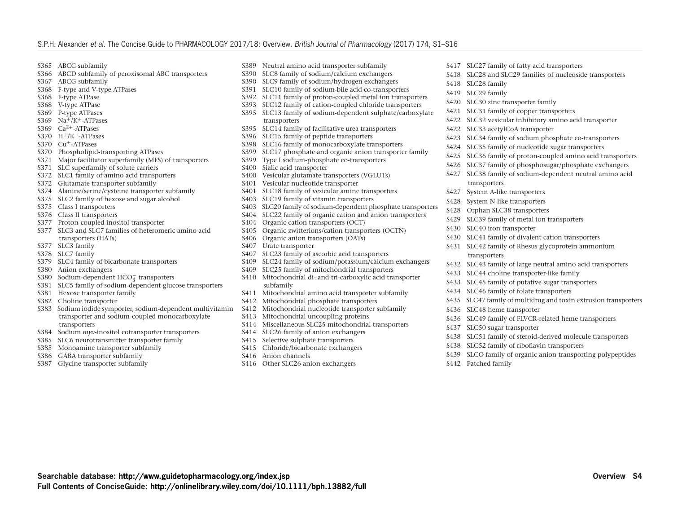- S365 ABCC subfamily
- S366 ABCD subfamily of peroxisomal ABC transporters<br>S367 ABCG subfamily
- ABCG subfamily
- S368 F-type and V-type ATPases
- S368 F-type ATPase
- S368 V-type ATPase
- S369 P-type ATPases
- S369  $Na^+/K^+$ -ATPases
- S369  $Ca<sup>2+</sup>-ATPases$
- $S370$  H<sup>+</sup>/K<sup>+</sup>-ATPases
- S370 Cu<sup>+</sup>-ATPases
- S370 Phospholipid-transporting ATPases
- S371 Major facilitator superfamily (MFS) of transporters
- S371 SLC superfamily of solute carriers
- S372 SLC1 family of amino acid transporters
- S372 Glutamate transporter subfamily
- S374 Alanine/serine/cysteine transporter subfamily
- S375 SLC2 family of hexose and sugar alcohol
- S375 Class I transporters
- S376 Class II transporters
- S377 Proton-coupled inositol transporter
- S377 SLC3 and SLC7 families of heteromeric amino acid transporters (HATs)
- S377 SLC3 family
- S378 SLC7 family
- S379 SLC4 family of bicarbonate transporters
- S380 Anion exchangers
- S380 Sodium-dependent HCO− <sup>3</sup> transporters
- S381 SLC5 family of sodium-dependent glucose transporters
- S381 Hexose transporter family
- S382 Choline transporter
- S383 Sodium iodide symporter, sodium-dependent multivitamin transporter and sodium-coupled monocarboxylate transporters

**Full Contents of ConciseGuide: <http://onlinelibrary.wiley.com/doi/10.1111/bph.13882/full>**

- S384 Sodium *myo*-inositol cotransporter transporters
- S385 SLC6 neurotransmitter transporter family
- S385 Monoamine transporter subfamily
- S386 GABA transporter subfamily
- S387 Glycine transporter subfamily
- S389 Neutral amino acid transporter subfamily
- S390 SLC8 family of sodium/calcium exchangers
- S390 SLC9 family of sodium/hydrogen exchangers
- S391 SLC10 family of sodium-bile acid co-transporters
- S392 SLC11 family of proton-coupled metal ion transporters
- S393 SLC12 family of cation-coupled chloride transporters
- S395 SLC13 family of sodium-dependent sulphate/carboxylate transporters
- S395 SLC14 family of facilitative urea transporters
- S396 SLC15 family of peptide transporters
- S398 SLC16 family of monocarboxylate transporters
- S399 SLC17 phosphate and organic anion transporter family
- S399 Type I sodium-phosphate co-transporters
- S400 Sialic acid transporter
- S400 Vesicular glutamate transporters (VGLUTs)
- S401 Vesicular nucleotide transporter
- S401 SLC18 family of vesicular amine transporters
- S403 SLC19 family of vitamin transporters
- S403 SLC20 family of sodium-dependent phosphate transporters
- S404 SLC22 family of organic cation and anion transporters
- S404 Organic cation transporters (OCT)
- S405 Organic zwitterions/cation transporters (OCTN)
- S406 Organic anion transporters (OATs)
- S407 Urate transporter
- S407 SLC23 family of ascorbic acid transporters
- S409 SLC24 family of sodium/potassium/calcium exchangers
- S409 SLC25 family of mitochondrial transporters
- S410 Mitochondrial di- and tri-carboxylic acid transporter subfamily
- S411 Mitochondrial amino acid transporter subfamily
- S412 Mitochondrial phosphate transporters
- S412 Mitochondrial nucleotide transporter subfamily
- S413 Mitochondrial uncoupling proteins
- S414 Miscellaneous SLC25 mitochondrial transporters

**Searchable database: <http://www.guidetopharmacology.org/index.jsp> Overview S4**

- S414 SLC26 family of anion exchangers
- S415 Selective sulphate transporters
- S415 Chloride/bicarbonate exchangers
- S416 Anion channels
- S416 Other SLC26 anion exchangers
- S417 SLC27 family of fatty acid transporters
- S418 SLC28 and SLC29 families of nucleoside transporters
- S418 SLC28 family
- S419 SLC29 family
- S420 SLC30 zinc transporter family
- S421 SLC31 family of copper transporters
- S422 SLC32 vesicular inhibitory amino acid transporter
- S422 SLC33 acetylCoA transporter
- S423 SLC34 family of sodium phosphate co-transporters
- S424 SLC35 family of nucleotide sugar transporters
- S425 SLC36 family of proton-coupled amino acid transporters
- S426 SLC37 family of phosphosugar/phosphate exchangers
- S427 SLC38 family of sodium-dependent neutral amino acid transporters
- S427 System A-like transporters
- S428 System N-like transporters
- S428 Orphan SLC38 transporters
- S429 SLC39 family of metal ion transporters
- S430 SLC40 iron transporter
- S430 SLC41 family of divalent cation transporters
- S431 SLC42 family of Rhesus glycoprotein ammonium transporters

S436 SLC49 family of FLVCR-related heme transporters

S438 SLC51 family of steroid-derived molecule transporters

S439 SLCO family of organic anion transporting polypeptides

- S432 SLC43 family of large neutral amino acid transporters
- S433 SLC44 choline transporter-like family

S438 SLC52 family of riboflavin transporters

- S433 SLC45 family of putative sugar transporters
- S434 SLC46 family of folate transporters
- S435 SLC47 family of multidrug and toxin extrusion transporters
- S436 SLC48 heme transporter

S437 SLC50 sugar transporter

S442 Patched family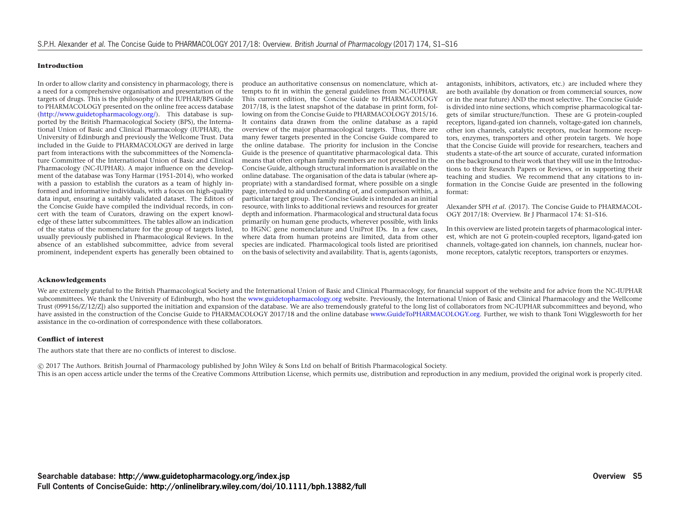#### **Introduction**

In order to allow clarity and consistency in pharmacology, there is a need for a comprehensive organisation and presentation of the targets of drugs. This is the philosophy of the IUPHAR/BPS Guide to PHARMACOLOGY presented on the online free access database [\(http://www.guidetopharmacology.org/\)](http://www.guidetopharmacology.org/). This database is supported by the British Pharmacological Society (BPS), the International Union of Basic and Clinical Pharmacology (IUPHAR), the University of Edinburgh and previously the Wellcome Trust. Data included in the Guide to PHARMACOLOGY are derived in large part from interactions with the subcommittees of the Nomenclature Committee of the International Union of Basic and Clinical Pharmacology (NC-IUPHAR). A major influence on the development of the database was Tony Harmar (1951-2014), who worked with a passion to establish the curators as a team of highly informed and informative individuals, with a focus on high-quality data input, ensuring a suitably validated dataset. The Editors of the Concise Guide have compiled the individual records, in concert with the team of Curators, drawing on the expert knowledge of these latter subcommittees. The tables allow an indication of the status of the nomenclature for the group of targets listed, usually previously published in Pharmacological Reviews. In the absence of an established subcommittee, advice from several prominent, independent experts has generally been obtained to

produce an authoritative consensus on nomenclature, which attempts to fit in within the general guidelines from NC-IUPHAR. This current edition, the Concise Guide to PHARMACOLOGY 2017/18, is the latest snapshot of the database in print form, following on from the Concise Guide to PHARMACOLOGY 2015/16. It contains data drawn from the online database as a rapid overview of the major pharmacological targets. Thus, there are many fewer targets presented in the Concise Guide compared to the online database. The priority for inclusion in the Concise Guide is the presence of quantitative pharmacological data. This means that often orphan family members are not presented in the Concise Guide, although structural information is available on the online database. The organisation of the data is tabular (where appropriate) with a standardised format, where possible on a single page, intended to aid understanding of, and comparison within, a particular target group. The Concise Guide is intended as an initial resource, with links to additional reviews and resources for greater depth and information. Pharmacological and structural data focus primarily on human gene products, wherever possible, with links to HGNC gene nomenclature and UniProt IDs. In a few cases, where data from human proteins are limited, data from other species are indicated. Pharmacological tools listed are prioritised on the basis of selectivity and availability. That is, agents (agonists,

antagonists, inhibitors, activators, etc.) are included where they are both available (by donation or from commercial sources, now or in the near future) AND the most selective. The Concise Guide is divided into nine sections, which comprise pharmacological targets of similar structure/function. These are G protein-coupled receptors, ligand-gated ion channels, voltage-gated ion channels, other ion channels, catalytic receptors, nuclear hormone receptors, enzymes, transporters and other protein targets. We hope that the Concise Guide will provide for researchers, teachers and students a state-of-the art source of accurate, curated information on the background to their work that they will use in the Introductions to their Research Papers or Reviews, or in supporting their teaching and studies. We recommend that any citations to information in the Concise Guide are presented in the following format:

Alexander SPH *et al.* (2017). The Concise Guide to PHARMACOL-OGY 2017/18: Overview. Br J Pharmacol 174: S1–S16.

In this overview are listed protein targets of pharmacological interest, which are not G protein-coupled receptors, ligand-gated ion channels, voltage-gated ion channels, ion channels, nuclear hormone receptors, catalytic receptors, transporters or enzymes.

#### **Acknowledgements**

We are extremely grateful to the British Pharmacological Society and the International Union of Basic and Clinical Pharmacology, for financial support of the website and for advice from the NC-IUPHAR subcommittees. We thank the University of Edinburgh, who host the <www.guidetopharmacology.org> website. Previously, the International Union of Basic and Clinical Pharmacology and the Wellcome Trust (099156/Z/12/Z]) also supported the initiation and expansion of the database. We are also tremendously grateful to the long list of collaborators from NC-IUPHAR subcommittees and beyond, who have assisted in the construction of the Concise Guide to PHARMACOLOGY 2017/18 and the online database [www.GuideToPHARMACOLOGY.org.](www.GuideToPHARMACOLOGY.org) Further, we wish to thank Toni Wigglesworth for her assistance in the co-ordination of correspondence with these collaborators.

#### **Conflict of interest**

The authors state that there are no conflicts of interest to disclose.

-c 2017 The Authors. British Journal of Pharmacology published by John Wiley & Sons Ltd on behalf of British Pharmacological Society. This is an open access article under the terms of the Creative Commons Attribution License, which permits use, distribution and reproduction in any medium, provided the original work is properly cited.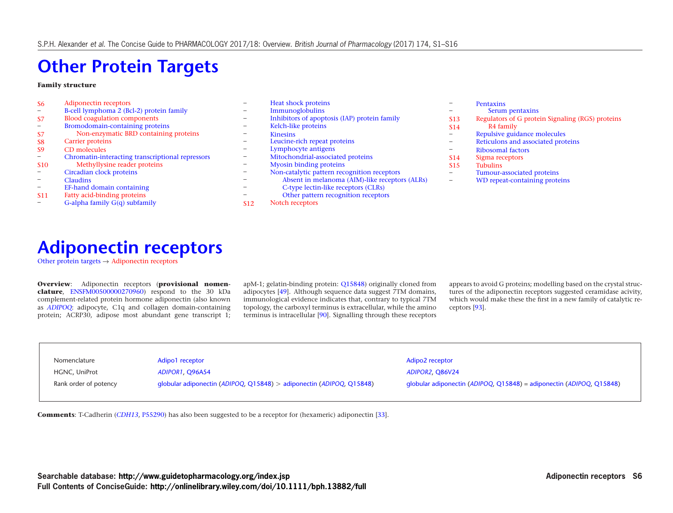# **[Other Protein Targets](http://www.guidetopharmacology.org/GRAC/FamilyDisplayForward?familyId=864)**

#### **Family structure**

| S <sub>6</sub>               | Adiponectin receptors                            |                          | Heat shock proteins                            |                          | <b>Pentaxins</b>                        |
|------------------------------|--------------------------------------------------|--------------------------|------------------------------------------------|--------------------------|-----------------------------------------|
|                              | B-cell lymphoma 2 (Bcl-2) protein family         | $\overline{\phantom{0}}$ | Immunoglobulins                                |                          | Serum pentaxins                         |
| S7                           | <b>Blood coagulation components</b>              | $\overline{\phantom{0}}$ | Inhibitors of apoptosis (IAP) protein family   | <b>S13</b>               | Regulators of G protein Signaling (RGS) |
|                              | Bromodomain-containing proteins                  |                          | Kelch-like proteins                            | <b>S14</b>               | R4 family                               |
| S7                           | Non-enzymatic BRD containing proteins            | -                        | <b>Kinesins</b>                                | $\overline{\phantom{a}}$ | Repulsive guidance molecules            |
| -S8                          | Carrier proteins                                 | -                        | Leucine-rich repeat proteins                   | $\overline{\phantom{a}}$ | Reticulons and associated proteins      |
| S <sub>9</sub>               | CD molecules                                     |                          | Lymphocyte antigens                            | $\overline{\phantom{m}}$ | Ribosomal factors                       |
| $\qquad \qquad \blacksquare$ | Chromatin-interacting transcriptional repressors | $\overline{\phantom{0}}$ | Mitochondrial-associated proteins              | <b>S14</b>               | Sigma receptors                         |
| <b>S10</b>                   | Methyllysine reader proteins                     | $\overline{\phantom{0}}$ | <b>Myosin binding proteins</b>                 | <b>S15</b>               | <b>Tubulins</b>                         |
| $\qquad \qquad \blacksquare$ | Circadian clock proteins                         | $\overline{\phantom{a}}$ | Non-catalytic pattern recognition receptors    | $\qquad \qquad -$        | Tumour-associated proteins              |
| $\hspace{0.05cm}$            | <b>Claudins</b>                                  |                          | Absent in melanoma (AIM)-like receptors (ALRs) | $\overline{\phantom{m}}$ | WD repeat-containing proteins           |
| $\qquad \qquad \blacksquare$ | EF-hand domain containing                        |                          | C-type lectin-like receptors (CLRs)            |                          |                                         |
| <b>S11</b>                   | Fatty acid-binding proteins                      |                          | Other pattern recognition receptors            |                          |                                         |

<span id="page-5-1"></span><span id="page-5-0"></span>[S11](#page-10-0) [Fatty acid-binding proteins](#page-10-1) – [G-alpha family G\(q\) subfamily](http://www.guidetopharmacology.org/GRAC/FamilyDisplayForward?familyId=935)

|                 | Non-catalytic pattern recognition recep |
|-----------------|-----------------------------------------|
|                 | Absent in melanoma (AIM)-like reco      |
|                 | C-type lectin-like receptors (CLRs)     |
|                 | Other pattern recognition receptors     |
| S <sub>12</sub> | Notch receptors                         |
|                 |                                         |
|                 |                                         |
|                 |                                         |

proteins

### **[Adiponectin receptors](http://www.guidetopharmacology.org/GRAC/FamilyDisplayForward?familyId=106)**

[Other protein targets](http://www.guidetopharmacology.org/GRAC/FamilyDisplayForward?familyId=864)  $\rightarrow$  [Adiponectin receptors](#page-5-1)

**Overview**: Adiponectin receptors (**provisional nomenclature**, [ENSFM00500000270960\)](http://www.ensembl.org/Homo_sapiens/Gene/Family/Genes?family=ENSFM00500000270960) respond to the 30 kDa complement-related protein hormone adiponectin (also known as *[ADIPOQ](http://www.genenames.org/data/hgnc_data.php?hgnc_id=13633)*: adipocyte, C1q and collagen domain-containing protein; ACRP30, adipose most abundant gene transcript 1; apM-1; gelatin-binding protein: [Q15848\)](http://www.uniprot.org/uniprot/Q15848) originally cloned from adipocytes [\[49\]](http://www.ncbi.nlm.nih.gov/pubmed/8619847?dopt=AbstractPlus). Although sequence data suggest 7TM domains, immunological evidence indicates that, contrary to typical 7TM topology, the carboxyl terminus is extracellular, while the amino terminus is intracellular [\[90\]](http://www.ncbi.nlm.nih.gov/pubmed/16530045?dopt=AbstractPlus). Signalling through these receptors appears to avoid G proteins; modelling based on the crystal structures of the adiponectin receptors suggested ceramidase acivity, which would make these the first in a new family of catalytic receptors [\[93\]](http://www.ncbi.nlm.nih.gov/pubmed/25855295?dopt=AbstractPlus).

| Nomenclature          | Adipo1 receptor                                                      | Adipo2 receptor                                                      |
|-----------------------|----------------------------------------------------------------------|----------------------------------------------------------------------|
| HGNC, UniProt         | ADIPOR1, Q96A54                                                      | <b>ADIPOR2, Q86V24</b>                                               |
| Rank order of potency | globular adiponectin (ADIPOQ, Q15848) > adiponectin (ADIPOQ, Q15848) | globular adiponectin (ADIPOQ, Q15848) = adiponectin (ADIPOQ, Q15848) |
|                       |                                                                      |                                                                      |

**Comments**: T-Cadherin (*[CDH13](http://www.genenames.org/data/hgnc_data.php?hgnc_id=1753)*, [P55290\)](http://www.uniprot.org/uniprot/P55290) has also been suggested to be a receptor for (hexameric) adiponectin [\[33\]](http://www.ncbi.nlm.nih.gov/pubmed/15210937?dopt=AbstractPlus).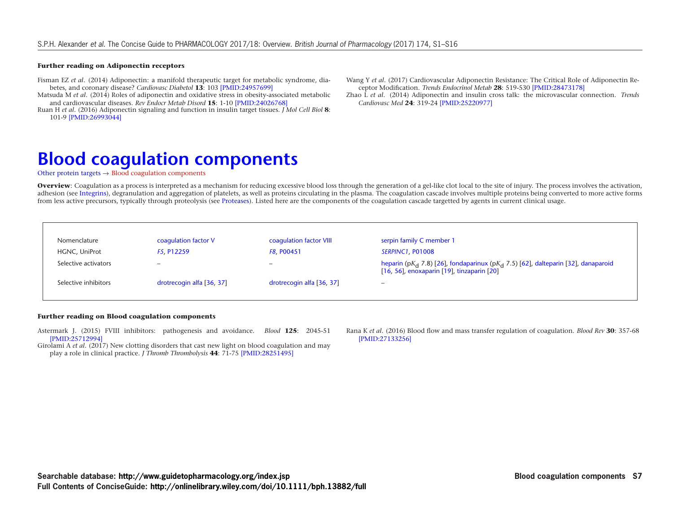#### **Further reading on Adiponectin receptors**

Fisman EZ *et al*. (2014) Adiponectin: a manifold therapeutic target for metabolic syndrome, diabetes, and coronary disease? *Cardiovasc Diabetol* **13**: 103 [\[PMID:24957699\]](https://www.ncbi.nlm.nih.gov/pubmed/24957699)

Matsuda M *et al*. (2014) Roles of adiponectin and oxidative stress in obesity-associated metabolic and cardiovascular diseases. *Rev Endocr Metab Disord* **15**: 1-10 [\[PMID:24026768\]](https://www.ncbi.nlm.nih.gov/pubmed/24026768)

<span id="page-6-1"></span><span id="page-6-0"></span>Ruan H *et al*. (2016) Adiponectin signaling and function in insulin target tissues. *J Mol Cell Biol* **8**: 101-9 [\[PMID:26993044\]](https://www.ncbi.nlm.nih.gov/pubmed/26993044)

Wang Y *et al*. (2017) Cardiovascular Adiponectin Resistance: The Critical Role of Adiponectin Receptor Modification. *Trends Endocrinol Metab* **28**: 519-530 [\[PMID:28473178\]](https://www.ncbi.nlm.nih.gov/pubmed/28473178)

Zhao L *et al*. (2014) Adiponectin and insulin cross talk: the microvascular connection. *Trends Cardiovasc Med* **24**: 319-24 [\[PMID:25220977\]](https://www.ncbi.nlm.nih.gov/pubmed/25220977)

## **[Blood coagulation components](http://www.guidetopharmacology.org/GRAC/FamilyDisplayForward?familyId=853)**

[Other protein targets](http://www.guidetopharmacology.org/GRAC/FamilyDisplayForward?familyId=864)  $\rightarrow$  [Blood coagulation components](#page-6-1)

**Overview**: Coagulation as a process is interpreted as a mechanism for reducing excessive blood loss through the generation of a gel-like clot local to the site of injury. The process involves the activation, adhesion (see [Integrins\)](http://www.guidetopharmacology.org/GRAC/FamilyDisplayForward?familyId=760), degranulation and aggregation of platelets, as well as proteins circulating in the plasma. The coagulation cascade involves multiple proteins being converted to more active forms from less active precursors, typically through proteolysis (see [Proteases\)](http://www.guidetopharmacology.org/GRAC/FamilyDisplayForward?familyId=759&familyType=ENZYME). Listed here are the components of the coagulation cascade targetted by agents in current clinical usage.

| Nomenclature         | coagulation factor V      | coagulation factor VIII   | serpin family C member 1                                                                                                                               |
|----------------------|---------------------------|---------------------------|--------------------------------------------------------------------------------------------------------------------------------------------------------|
| HGNC, UniProt        | F5. P12259                | F8. P00451                | SERPINC1, P01008                                                                                                                                       |
| Selective activators | $\overline{\phantom{m}}$  |                           | heparin (pK <sub>d</sub> 7.8) [26], fondaparinux (pK <sub>d</sub> 7.5) [62], dalteparin [32], danaparoid<br>[16, 56], enoxaparin [19], tinzaparin [20] |
| Selective inhibitors | drotrecogin alfa [36, 37] | drotrecogin alfa [36, 37] | $\hspace{1.0cm} \bar{}$                                                                                                                                |
|                      |                           |                           |                                                                                                                                                        |

#### **Further reading on Blood coagulation components**

Astermark J. (2015) FVIII inhibitors: pathogenesis and avoidance. *Blood* **125**: 2045-51 [\[PMID:25712994\]](http://www.ncbi.nlm.nih.gov/pubmed/25712994?dopt=AbstractPlus)

<span id="page-6-3"></span><span id="page-6-2"></span>Girolami A *et al*. (2017) New clotting disorders that cast new light on blood coagulation and may play a role in clinical practice. *J Thromb Thrombolysis* **44**: 71-75 [\[PMID:28251495\]](https://www.ncbi.nlm.nih.gov/pubmed/28251495)

Rana K *et al*. (2016) Blood flow and mass transfer regulation of coagulation. *Blood Rev* **30**: 357-68 [\[PMID:27133256\]](https://www.ncbi.nlm.nih.gov/pubmed/27133256)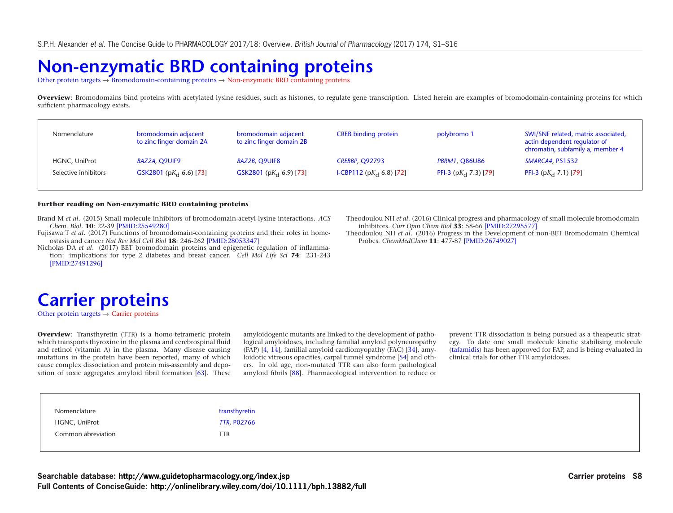# **[Non-enzymatic BRD containing proteins](http://www.guidetopharmacology.org/GRAC/FamilyDisplayForward?familyId=867)**

[Other protein targets](http://www.guidetopharmacology.org/GRAC/FamilyDisplayForward?familyId=864) → [Bromodomain-containing proteins](http://www.guidetopharmacology.org/GRAC/FamilyDisplayForward?familyId=866) → [Non-enzymatic BRD containing proteins](#page-6-3)

**Overview**: Bromodomains bind proteins with acetylated lysine residues, such as histones, to regulate gene transcription. Listed herein are examples of bromodomain-containing proteins for which sufficient pharmacology exists.

| Nomenclature         | bromodomain adjacent<br>to zinc finger domain 2A | bromodomain adjacent<br>to zinc finger domain 2B | <b>CREB</b> binding protein | polybromo 1                    | SWI/SNF related, matrix associated,<br>actin dependent regulator of<br>chromatin, subfamily a, member 4 |
|----------------------|--------------------------------------------------|--------------------------------------------------|-----------------------------|--------------------------------|---------------------------------------------------------------------------------------------------------|
| HGNC, UniProt        | BAZ2A, Q9UIF9                                    | BAZ2B, Q9UIF8                                    | <b>CREBBP, Q92793</b>       | <b>PBRM1, Q86U86</b>           | <b>SMARCA4, P51532</b>                                                                                  |
| Selective inhibitors | GSK2801 (p $K_d$ 6.6) [73]                       | GSK2801 (p $K_d$ 6.9) [73]                       | I-CBP112 ( $pK_d$ 6.8) [72] | PFI-3 (p $K_{\rm d}$ 7.3) [79] | PFI-3 (p $K_{\rm d}$ 7.1) [79]                                                                          |

#### **Further reading on Non-enzymatic BRD containing proteins**

Brand M *et al*. (2015) Small molecule inhibitors of bromodomain-acetyl-lysine interactions. *ACS Chem. Biol.* **10**: 22-39 [\[PMID:25549280\]](http://www.ncbi.nlm.nih.gov/pubmed/25549280?dopt=AbstractPlus)

Fujisawa T *et al*. (2017) Functions of bromodomain-containing proteins and their roles in homeostasis and cancer *Nat Rev Mol Cell Biol* **18**: 246-262 [\[PMID:28053347\]](http://www.ncbi.nlm.nih.gov/pubmed/28053347?dopt=AbstractPlus)

Nicholas DA *et al*. (2017) BET bromodomain proteins and epigenetic regulation of inflammation: implications for type 2 diabetes and breast cancer. *Cell Mol Life Sci* **74**: 231-243 [\[PMID:27491296\]](http://www.ncbi.nlm.nih.gov/pubmed/27491296?dopt=AbstractPlus)

Theodoulou NH *et al*. (2016) Clinical progress and pharmacology of small molecule bromodomain inhibitors. *Curr Opin Chem Biol* **33**: 58-66 [\[PMID:27295577\]](http://www.ncbi.nlm.nih.gov/pubmed/27295577?dopt=AbstractPlus)

Theodoulou NH *et al*. (2016) Progress in the Development of non-BET Bromodomain Chemical Probes. *ChemMedChem* **11**: 477-87 [\[PMID:26749027\]](http://www.ncbi.nlm.nih.gov/pubmed/26749027?dopt=AbstractPlus)

## <span id="page-7-1"></span><span id="page-7-0"></span>**[Carrier proteins](http://www.guidetopharmacology.org/GRAC/FamilyDisplayForward?familyId=911)**

[Other protein targets](http://www.guidetopharmacology.org/GRAC/FamilyDisplayForward?familyId=864)  $\rightarrow$  [Carrier proteins](#page-7-1)

**Overview**: Transthyretin (TTR) is a homo-tetrameric protein which transports thyroxine in the plasma and cerebrospinal fluid and retinol (vitamin A) in the plasma. Many disease causing mutations in the protein have been reported, many of which cause complex dissociation and protein mis-assembly and deposition of toxic aggregates amyloid fibril formation [\[63\]](http://www.ncbi.nlm.nih.gov/pubmed/23716704?dopt=AbstractPlus). These

amyloidogenic mutants are linked to the development of pathological amyloidoses, including familial amyloid polyneuropathy (FAP) [\[4,](http://www.ncbi.nlm.nih.gov/pubmed/12978172?dopt=AbstractPlus) [14\]](http://www.ncbi.nlm.nih.gov/pubmed/8894411?dopt=AbstractPlus), familial amyloid cardiomyopathy (FAC) [\[34\]](http://www.ncbi.nlm.nih.gov/pubmed/9017939?dopt=AbstractPlus), amy-loidotic vitreous opacities, carpal tunnel syndrome [\[54\]](http://www.ncbi.nlm.nih.gov/pubmed/10403814?dopt=AbstractPlus) and others. In old age, non-mutated TTR can also form pathological amyloid fibrils [\[88\]](http://www.ncbi.nlm.nih.gov/pubmed/7016817?dopt=AbstractPlus). Pharmacological intervention to reduce or

prevent TTR dissociation is being pursued as a theapeutic strategy. To date one small molecule kinetic stabilising molecule [\(tafamidis\)](http://www.guidetopharmacology.org/GRAC/LigandDisplayForward?ligandId=8378) has been approved for FAP, and is being evaluated in clinical trials for other TTR amyloidoses.

| Nomenclature       | transthyretin      |
|--------------------|--------------------|
| HGNC, UniProt      | <b>TTR, PO2766</b> |
| Common abreviation | <b>TTR</b>         |
|                    |                    |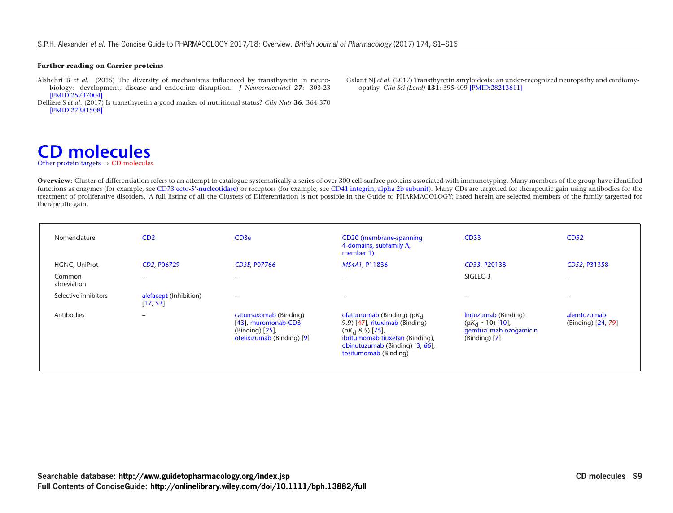#### **Further reading on Carrier proteins**

- Alshehri B *et al*. (2015) The diversity of mechanisms influenced by transthyretin in neurobiology: development, disease and endocrine disruption. *J Neuroendocrinol* **27**: 303-23 [\[PMID:25737004\]](http://www.ncbi.nlm.nih.gov/pubmed/25737004?dopt=AbstractPlus)
- <span id="page-8-1"></span><span id="page-8-0"></span>Delliere S *et al*. (2017) Is transthyretin a good marker of nutritional status? *Clin Nutr* **36**: 364-370 [\[PMID:27381508\]](http://www.ncbi.nlm.nih.gov/pubmed/27381508?dopt=AbstractPlus)

Galant NJ *et al*. (2017) Transthyretin amyloidosis: an under-recognized neuropathy and cardiomyopathy. *Clin Sci (Lond)* **131**: 395-409 [\[PMID:28213611\]](http://www.ncbi.nlm.nih.gov/pubmed/28213611?dopt=AbstractPlus)

### **[CD molecules](http://www.guidetopharmacology.org/GRAC/FamilyDisplayForward?familyId=852)** [Other protein targets](http://www.guidetopharmacology.org/GRAC/FamilyDisplayForward?familyId=864)  $\rightarrow$  [CD molecules](#page-8-1)

Overview: Cluster of differentiation refers to an attempt to catalogue systematically a series of over 300 cell-surface proteins associated with immunotyping. Many members of the group have identified functions as enzymes (for example, see [CD73 ecto-5'-nucleotidase\)](http://www.guidetopharmacology.org/GRAC/ObjectDisplayForward?objectId=1232) or receptors (for example, see [CD41 integrin, alpha 2b subunit\)](http://www.guidetopharmacology.org/GRAC/ObjectDisplayForward?objectId=2441). Many CDs are targetted for therapeutic gain using antibodies for the treatment of proliferative disorders. A full listing of all the Clusters of Differentiation is not possible in the Guide to PHARMACOLOGY; listed herein are selected members of the family targetted for therapeutic gain.

| Nomenclature          | CD2                                | CD <sub>3e</sub>                                                                                 | CD20 (membrane-spanning<br>4-domains, subfamily A,<br>member 1)                                                                                                                     | <b>CD33</b>                                                                                | <b>CD52</b>                       |
|-----------------------|------------------------------------|--------------------------------------------------------------------------------------------------|-------------------------------------------------------------------------------------------------------------------------------------------------------------------------------------|--------------------------------------------------------------------------------------------|-----------------------------------|
| HGNC, UniProt         | CD2, P06729                        | <b>CD3E, P07766</b>                                                                              | MS4A1, P11836                                                                                                                                                                       | CD33, P20138                                                                               | CD52, P31358                      |
| Common<br>abreviation | -                                  | $\overline{\phantom{0}}$                                                                         | $\overline{\phantom{0}}$                                                                                                                                                            | SIGLEC-3                                                                                   | $\overline{\phantom{0}}$          |
| Selective inhibitors  | alefacept (Inhibition)<br>[17, 53] | $\overline{\phantom{a}}$                                                                         | $\overline{\phantom{0}}$                                                                                                                                                            | -                                                                                          |                                   |
| Antibodies            | -                                  | catumaxomab (Binding)<br>[43], muromonab-CD3<br>(Binding) $[25]$ ,<br>otelixizumab (Binding) [9] | ofatumumab (Binding) ( $pK_d$<br>9.9) [47], rituximab (Binding)<br>$(pKd 8.5)$ [75],<br>ibritumomab tiuxetan (Binding),<br>obinutuzumab (Binding) [3, 66],<br>tositumomab (Binding) | lintuzumab (Binding)<br>$(pK_d \sim 10)$ [10],<br>gemtuzumab ozogamicin<br>$(Binding)$ [7] | alemtuzumab<br>(Binding) [24, 79] |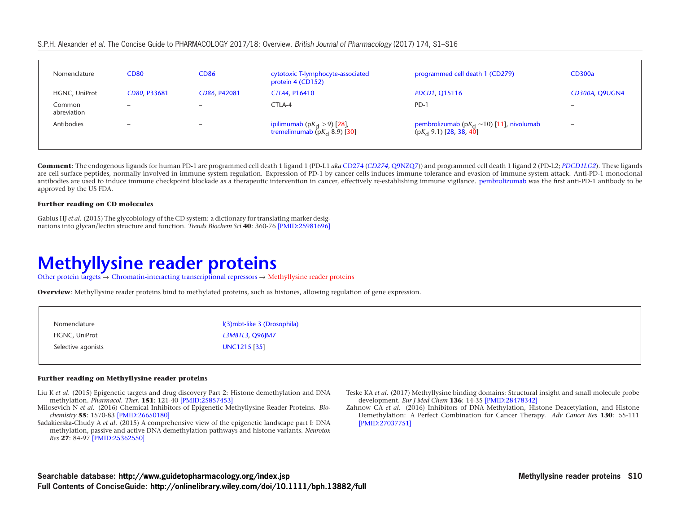#### S.P.H. Alexander et al. The Concise Guide to PHARMACOLOGY 2017/18: Overview. British Journal of Pharmacology (2017) 174, S1–S16

| Nomenclature          | <b>CD80</b>              | <b>CD86</b>              | cytotoxic T-lymphocyte-associated<br>protein 4 (CD152)                | programmed cell death 1 (CD279)                                                     | <b>CD300a</b>            |
|-----------------------|--------------------------|--------------------------|-----------------------------------------------------------------------|-------------------------------------------------------------------------------------|--------------------------|
| HGNC, UniProt         | CD80, P33681             | CD86, P42081             | CTLA4, P16410                                                         | PDCD1, Q15116                                                                       | <b>CD300A, Q9UGN4</b>    |
| Common<br>abreviation | $\overline{\phantom{0}}$ | $\overline{\phantom{a}}$ | CTLA-4                                                                | $PD-1$                                                                              | $\overline{\phantom{0}}$ |
| Antibodies            | $\overline{\phantom{a}}$ |                          | ipilimumab (p $K_{\rm d}$ > 9) [28],<br>tremelimumab $(pKd 8.9)$ [30] | pembrolizumab (p $K_{\rm d} \sim 10$ ) [11], nivolumab<br>$(pK_d 9.1)$ [28, 38, 40] | $\overline{\phantom{a}}$ |

<span id="page-9-1"></span><span id="page-9-0"></span>**Comment**: The endogenous ligands for human PD-1 are programmed cell death 1 ligand 1 (PD-L1 *aka* [CD274](http://www.guidetopharmacology.org/GRAC/LigandDisplayForward?ligandId=7693) (*[CD274](http://www.genenames.org/data/hgnc_data.php?hgnc_id=17635)*, [Q9NZQ7\)](http://www.uniprot.org/uniprot/Q9NZQ7)) and programmed cell death 1 ligand 2 (PD-L2; *[PDCD1LG2](http://www.genenames.org/cgi-bin/gene_symbol_report?hgnc_id=18731)*). These ligands are cell surface peptides, normally involved in immune system regulation. Expression of PD-1 by cancer cells induces immune tolerance and evasion of immune system attack. Anti-PD-1 monoclonal antibodies are used to induce immune checkpoint blockade as a therapeutic intervention in cancer, effectively re-establishing immune vigilance. [pembrolizumab](http://www.guidetopharmacology.org/GRAC/LigandDisplayForward?ligandId=7499) was the first anti-PD-1 antibody to be approved by the US FDA.

#### **Further reading on CD molecules**

Gabius HJ *et al*. (2015) The glycobiology of the CD system: a dictionary for translating marker designations into glycan/lectin structure and function. *Trends Biochem Sci* **40**: 360-76 [\[PMID:25981696\]](https://www.ncbi.nlm.nih.gov/pubmed/25981696?dopt=AbstractPlus)

### **[Methyllysine reader proteins](http://www.guidetopharmacology.org/GRAC/FamilyDisplayForward?familyId=902)**

[Other protein targets](http://www.guidetopharmacology.org/GRAC/FamilyDisplayForward?familyId=864) → [Chromatin-interacting transcriptional repressors](http://www.guidetopharmacology.org/GRAC/FamilyDisplayForward?familyId=901) → [Methyllysine reader proteins](#page-9-1)

**Overview**: Methyllysine reader proteins bind to methylated proteins, such as histones, allowing regulation of gene expression.

| Nomenclature       | I(3)mbt-like 3 (Drosophila) |
|--------------------|-----------------------------|
| HGNC, UniProt      | L3MBTL3, Q96JM7             |
| Selective agonists | UNC1215 [35]                |
|                    |                             |

#### **Further reading on Methyllysine reader proteins**

- Liu K *et al*. (2015) Epigenetic targets and drug discovery Part 2: Histone demethylation and DNA methylation. *Pharmacol. Ther.* **151**: 121-40 [\[PMID:25857453\]](http://www.ncbi.nlm.nih.gov/pubmed/25857453?dopt=AbstractPlus)
- Milosevich N *et al*. (2016) Chemical Inhibitors of Epigenetic Methyllysine Reader Proteins. *Biochemistry* **55**: 1570-83 [\[PMID:26650180\]](https://www.ncbi.nlm.nih.gov/pubmed/26650180)
- Sadakierska-Chudy A *et al*. (2015) A comprehensive view of the epigenetic landscape part I: DNA methylation, passive and active DNA demethylation pathways and histone variants. *Neurotox Res* **27**: 84-97 [\[PMID:25362550\]](https://www.ncbi.nlm.nih.gov/pubmed/25362550)
- Teske KA *et al*. (2017) Methyllysine binding domains: Structural insight and small molecule probe development. *Eur J Med Chem* **136**: 14-35 [\[PMID:28478342\]](https://www.ncbi.nlm.nih.gov/pubmed/28478342)
- Zahnow CA *et al*. (2016) Inhibitors of DNA Methylation, Histone Deacetylation, and Histone Demethylation: A Perfect Combination for Cancer Therapy. *Adv Cancer Res* **130**: 55-111 [\[PMID:27037751\]](https://www.ncbi.nlm.nih.gov/pubmed/27037751)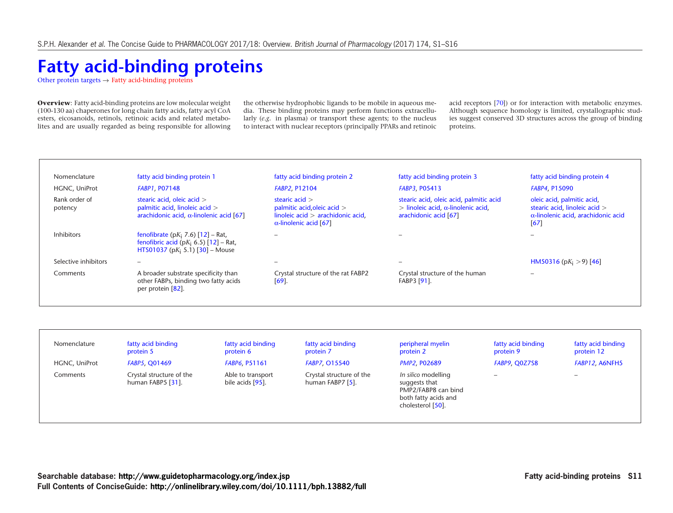# <span id="page-10-1"></span><span id="page-10-0"></span>**[Fatty acid-binding proteins](http://www.guidetopharmacology.org/GRAC/FamilyDisplayForward?familyId=783)**

[Other protein targets](http://www.guidetopharmacology.org/GRAC/FamilyDisplayForward?familyId=864)  $\rightarrow$  [Fatty acid-binding proteins](#page-10-1)

**Overview**: Fatty acid-binding proteins are low molecular weight (100-130 aa) chaperones for long chain fatty acids, fatty acyl CoA esters, eicosanoids, retinols, retinoic acids and related metabolites and are usually regarded as being responsible for allowing the otherwise hydrophobic ligands to be mobile in aqueous media. These binding proteins may perform functions extracellularly (*e.g.* in plasma) or transport these agents; to the nucleus to interact with nuclear receptors (principally PPARs and retinoic

acid receptors [\[70\]](http://www.ncbi.nlm.nih.gov/pubmed/17882463?dopt=AbstractPlus)) or for interaction with metabolic enzymes. Although sequence homology is limited, crystallographic studies suggest conserved 3D structures across the group of binding proteins.

| Nomenclature             | fatty acid binding protein 1                                                                                                      | fatty acid binding protein 2                                                                                                            | fatty acid binding protein 3                                                                                     | fatty acid binding protein 4                                                                                      |
|--------------------------|-----------------------------------------------------------------------------------------------------------------------------------|-----------------------------------------------------------------------------------------------------------------------------------------|------------------------------------------------------------------------------------------------------------------|-------------------------------------------------------------------------------------------------------------------|
| HGNC, UniProt            | <b>FABP1, PO7148</b>                                                                                                              | <b>FABP2, P12104</b>                                                                                                                    | <b>FABP3, PO5413</b>                                                                                             | <b>FABP4, P15090</b>                                                                                              |
| Rank order of<br>potency | stearic acid, oleic acid $>$<br>palmitic acid, linoleic acid ><br>arachidonic acid, $\alpha$ -linolenic acid [67]                 | stearic acid $>$<br>palmitic acid, oleic acid $>$<br>linoleic $\alpha$ cid > arachidonic $\alpha$ cid,<br>$\alpha$ -linolenic acid [67] | stearic acid, oleic acid, palmitic acid<br>$>$ linoleic acid, $\alpha$ -linolenic acid,<br>arachidonic acid [67] | oleic acid, palmitic acid,<br>stearic acid, linoleic acid ><br>$\alpha$ -linolenic acid, arachidonic acid<br>[67] |
| <b>Inhibitors</b>        | fenofibrate (p $K_i$ 7.6) [12] – Rat,<br>fenofibric acid (p $K_i$ 6.5) [12] – Rat,<br>HTS01037 (pK <sub>i</sub> 5.1) [30] - Mouse |                                                                                                                                         |                                                                                                                  |                                                                                                                   |
| Selective inhibitors     |                                                                                                                                   |                                                                                                                                         | $\overline{\phantom{0}}$                                                                                         | HM50316 (p $K_i > 9$ ) [46]                                                                                       |
| Comments                 | A broader substrate specificity than<br>other FABPs, binding two fatty acids<br>per protein [82].                                 | Crystal structure of the rat FABP2<br>$[69]$ .                                                                                          | Crystal structure of the human<br>FABP3 [91].                                                                    |                                                                                                                   |

| Nomenclature  | fatty acid binding<br>protein 5               | fatty acid binding<br>protein 6          | fatty acid binding<br>protein 7              | peripheral myelin<br>protein 2                                                                           | fatty acid binding<br>protein 9 | fatty acid binding<br>protein 12 |
|---------------|-----------------------------------------------|------------------------------------------|----------------------------------------------|----------------------------------------------------------------------------------------------------------|---------------------------------|----------------------------------|
| HGNC, UniProt | <b>FABP5, Q01469</b>                          | <b>FABP6, P51161</b>                     | <b>FABP7, 015540</b>                         | <b>PMP2, P02689</b>                                                                                      | FABP9, Q0Z7S8                   | FABP12, A6NFH5                   |
| Comments      | Crystal structure of the<br>human FABP5 [31]. | Able to transport<br>bile acids $[95]$ . | Crystal structure of the<br>human FABP7 [5]. | In silico modelling<br>suggests that<br>PMP2/FABP8 can bind<br>both fatty acids and<br>cholesterol [50]. |                                 | $\overline{\phantom{0}}$         |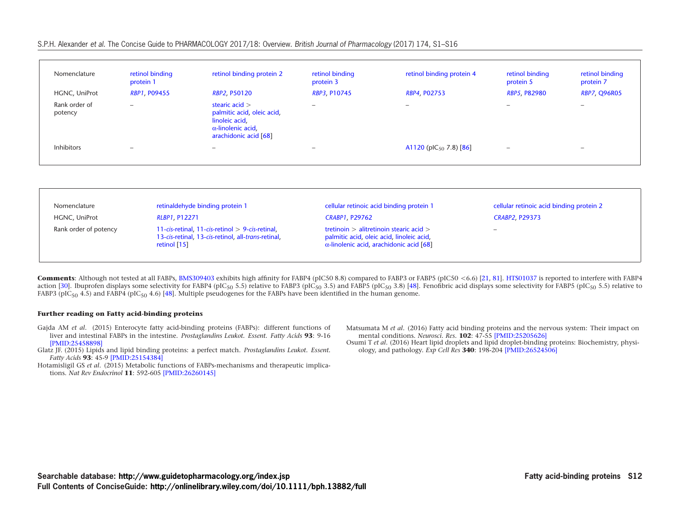#### S.P.H. Alexander et al. The Concise Guide to PHARMACOLOGY 2017/18: Overview. British Journal of Pharmacology (2017) 174, S1–S16

| Nomenclature             | retinol binding<br>protein 1 | retinol binding protein 2                                                                                              | retinol binding<br>protein 3 | retinol binding protein 4          | retinol binding<br>protein 5 | retinol binding<br>protein 7 |
|--------------------------|------------------------------|------------------------------------------------------------------------------------------------------------------------|------------------------------|------------------------------------|------------------------------|------------------------------|
| HGNC, UniProt            | <b>RBP1, P09455</b>          | <b>RBP2, P50120</b>                                                                                                    | RBP3, P10745                 | RBP4, P02753                       | <b>RBP5, P82980</b>          | <b>RBP7, Q96R05</b>          |
| Rank order of<br>potency | $\overline{\phantom{a}}$     | stearic acid $>$<br>palmitic acid, oleic acid,<br>linoleic acid,<br>$\alpha$ -linolenic acid,<br>arachidonic acid [68] | $-$                          | $\overline{\phantom{a}}$           | $\overline{\phantom{a}}$     | $\overline{\phantom{0}}$     |
| <b>Inhibitors</b>        | $\overline{\phantom{a}}$     | $\overline{\phantom{a}}$                                                                                               | -                            | A1120 (pIC <sub>50</sub> 7.8) [86] | $\overline{\phantom{0}}$     | $\overline{\phantom{0}}$     |

| Nomenclature          | retinaldehyde binding protein 1                                                                                                      | cellular retinoic acid binding protein 1                                                                                                    | cellular retinoic acid binding protein 2 |
|-----------------------|--------------------------------------------------------------------------------------------------------------------------------------|---------------------------------------------------------------------------------------------------------------------------------------------|------------------------------------------|
| HGNC, UniProt         | RLBP1, P12271                                                                                                                        | <b>CRABP1, P29762</b>                                                                                                                       | <b>CRABP2, P29373</b>                    |
| Rank order of potency | 11- $cis$ -retinal, 11- $cis$ -retinol $> 9$ - $cis$ -retinal,<br>13-cis-retinal, 13-cis-retinol, all-trans-retinal,<br>retinol [15] | tretinoin $>$ alitretinoin stearic acid $>$<br>palmitic acid, oleic acid, linoleic acid,<br>$\alpha$ -linolenic acid, arachidonic acid [68] | $\overline{\phantom{a}}$                 |

**Comments**: Although not tested at all FABPs, [BMS309403](http://www.guidetopharmacology.org/GRAC/LigandDisplayForward?ligandId=6735) exhibits high affinity for FABP4 (pIC50 8.8) compared to FABP3 or FABP5 (pIC50 <6.6) [\[21,](http://www.ncbi.nlm.nih.gov/pubmed/17554340?dopt=AbstractPlus) [81\]](http://www.ncbi.nlm.nih.gov/pubmed/17502136?dopt=AbstractPlus). [HTS01037](http://www.guidetopharmacology.org/GRAC/LigandDisplayForward?ligandId=6736) is reported to interfere with FABP4 action [\[30\]](http://www.ncbi.nlm.nih.gov/pubmed/19754198?dopt=AbstractPlus). Ibuprofen displays some selectivity for FABP4 (pIC<sub>50</sub> 5.5) relative to FABP3 (pIC<sub>50</sub> 3.5) and FABP5 (pIC<sub>50</sub> 3.8) [\[48\]](http://www.ncbi.nlm.nih.gov/pubmed/24248795?dopt=AbstractPlus). Fenofibric acid displays some selectivity for FABP5 (pIC<sub>50</sub> 5.5) relative to FABP3 ( $pIC_{50}$  4.5) and FABP4 ( $pIC_{50}$  4.6) [\[48\]](http://www.ncbi.nlm.nih.gov/pubmed/24248795?dopt=AbstractPlus). Multiple pseudogenes for the FABPs have been identified in the human genome.

#### **Further reading on Fatty acid-binding proteins**

- Gajda AM *et al*. (2015) Enterocyte fatty acid-binding proteins (FABPs): different functions of liver and intestinal FABPs in the intestine. *Prostaglandins Leukot. Essent. Fatty Acids* **93**: 9-16 [\[PMID:25458898\]](http://www.ncbi.nlm.nih.gov/pubmed/25458898?dopt=AbstractPlus)
- Glatz JF. (2015) Lipids and lipid binding proteins: a perfect match. *Prostaglandins Leukot. Essent. Fatty Acids* **93**: 45-9 [\[PMID:25154384\]](http://www.ncbi.nlm.nih.gov/pubmed/25154384?dopt=AbstractPlus)

<span id="page-11-1"></span><span id="page-11-0"></span>Hotamisligil GS *et al*. (2015) Metabolic functions of FABPs-mechanisms and therapeutic implications. *Nat Rev Endocrinol* **11**: 592-605 [\[PMID:26260145\]](http://www.ncbi.nlm.nih.gov/pubmed/26260145)

- Matsumata M *et al*. (2016) Fatty acid binding proteins and the nervous system: Their impact on mental conditions. *Neurosci. Res.* **102**: 47-55 [\[PMID:25205626\]](http://www.ncbi.nlm.nih.gov/pubmed/25205626?dopt=AbstractPlus)
- Osumi T *et al*. (2016) Heart lipid droplets and lipid droplet-binding proteins: Biochemistry, physiology, and pathology. *Exp Cell Res* **340**: 198-204 [\[PMID:26524506\]](https://www.ncbi.nlm.nih.gov/pubmed/26524506)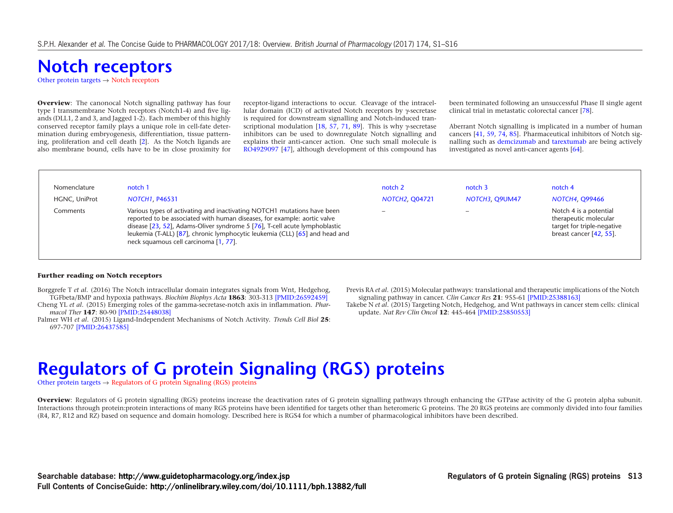# **[Notch receptors](http://www.guidetopharmacology.org/GRAC/FamilyDisplayForward?familyId=914)**

[Other protein targets](http://www.guidetopharmacology.org/GRAC/FamilyDisplayForward?familyId=864)  $\rightarrow$  [Notch receptors](#page-11-1)

**Overview**: The canonocal Notch signalling pathway has four type I transmembrane Notch receptors (Notch1-4) and five ligands (DLL1, 2 and 3, and Jagged 1-2). Each member of this highly conserved receptor family plays a unique role in cell-fate determination during embryogenesis, differentiation, tissue patterning, proliferation and cell death [\[2\]](http://www.ncbi.nlm.nih.gov/pubmed/20971825?dopt=AbstractPlus). As the Notch ligands are also membrane bound, cells have to be in close proximity for receptor-ligand interactions to occur. Cleavage of the intracellular domain (ICD) of activated Notch receptors by γ-secretase is required for downstream signalling and Notch-induced tran-scriptional modulation [\[18,](http://www.ncbi.nlm.nih.gov/pubmed/10206645?dopt=AbstractPlus) [57,](http://www.ncbi.nlm.nih.gov/pubmed/16530044?dopt=AbstractPlus) [71,](http://www.ncbi.nlm.nih.gov/pubmed/9620803?dopt=AbstractPlus) [89\]](http://www.ncbi.nlm.nih.gov/pubmed/16530045?dopt=AbstractPlus). This is why  $\gamma$ -secretase inhibitors can be used to downregulate Notch signalling and explains their anti-cancer action. One such small molecule is [RO4929097](http://www.guidetopharmacology.org/GRAC/LigandDisplayForward?ligandId=7338) [\[47\]](http://www.ncbi.nlm.nih.gov/pubmed/19773430?dopt=AbstractPlus), although development of this compound has been terminated following an unsuccessful Phase II single agent clinical trial in metastatic colorectal cancer [\[78\]](http://www.ncbi.nlm.nih.gov/pubmed/22445247?dopt=AbstractPlus).

Aberrant Notch signalling is implicated in a number of human cancers [\[41,](http://www.ncbi.nlm.nih.gov/pubmed/17344417?dopt=AbstractPlus) [59,](http://www.ncbi.nlm.nih.gov/pubmed/24651013?dopt=AbstractPlus) [74,](http://www.ncbi.nlm.nih.gov/pubmed/18079963?dopt=AbstractPlus) [85\]](http://www.ncbi.nlm.nih.gov/pubmed/17173050?dopt=AbstractPlus). Pharmaceutical inhibitors of Notch signalling such as [demcizumab](http://www.guidetopharmacology.org/GRAC/LigandDisplayForward?ligandId=8451) and [tarextumab](http://www.guidetopharmacology.org/GRAC/LigandDisplayForward?ligandId=8453) are being actively investigated as novel anti-cancer agents [\[64\]](http://www.ncbi.nlm.nih.gov/pubmed/25388163?dopt=AbstractPlus).

| Nomenclature  | notch 1                                                                                                                                                                                                                                                                                                                                                   | notch <sub>2</sub>       | notch <sub>3</sub> | notch 4                                                                                                  |
|---------------|-----------------------------------------------------------------------------------------------------------------------------------------------------------------------------------------------------------------------------------------------------------------------------------------------------------------------------------------------------------|--------------------------|--------------------|----------------------------------------------------------------------------------------------------------|
| HGNC, UniProt | NOTCH1, P46531                                                                                                                                                                                                                                                                                                                                            | <b>NOTCH2, Q04721</b>    | NOTCH3, Q9UM47     | <b>NOTCH4, Q99466</b>                                                                                    |
| Comments      | Various types of activating and inactivating NOTCH1 mutations have been<br>reported to be associated with human diseases, for example: aortic valve<br>disease [23, 52], Adams-Oliver syndrome 5 [76], T-cell acute lymphoblastic<br>leukemia (T-ALL) [87], chronic lymphocytic leukemia (CLL) [65] and head and<br>neck squamous cell carcinoma [1, 77]. | $\overline{\phantom{0}}$ |                    | Notch 4 is a potential<br>therapeutic molecular<br>target for triple-negative<br>breast cancer [42, 55]. |

#### **Further reading on Notch receptors**

- Borggrefe T *et al*. (2016) The Notch intracellular domain integrates signals from Wnt, Hedgehog, TGFbeta/BMP and hypoxia pathways. *Biochim Biophys Acta* **1863**: 303-313 [\[PMID:26592459\]](http://www.ncbi.nlm.nih.gov/pubmed/26592459)
- Cheng YL *et al*. (2015) Emerging roles of the gamma-secretase-notch axis in inflammation. *Pharmacol Ther* **147**: 80-90 [\[PMID:25448038\]](http://www.ncbi.nlm.nih.gov/pubmed/25448038)
- <span id="page-12-1"></span><span id="page-12-0"></span>Palmer WH *et al*. (2015) Ligand-Independent Mechanisms of Notch Activity. *Trends Cell Biol* **25**: 697-707 [\[PMID:26437585\]](http://www.ncbi.nlm.nih.gov/pubmed/26437585)
- Previs RA *et al*. (2015) Molecular pathways: translational and therapeutic implications of the Notch signaling pathway in cancer. *Clin Cancer Res* **21**: 955-61 [\[PMID:25388163\]](https://www.ncbi.nlm.nih.gov/pubmed/25388163)
- Takebe N *et al*. (2015) Targeting Notch, Hedgehog, and Wnt pathways in cancer stem cells: clinical update. *Nat Rev Clin Oncol* **12**: 445-464 [\[PMID:25850553\]](http://www.ncbi.nlm.nih.gov/pubmed/25850553)

## **[Regulators of G protein Signaling \(RGS\) proteins](http://www.guidetopharmacology.org/GRAC/FamilyDisplayForward?familyId=891)**

[Other protein targets](http://www.guidetopharmacology.org/GRAC/FamilyDisplayForward?familyId=864)  $\rightarrow$  [Regulators of G protein Signaling \(RGS\) proteins](#page-12-1)

**Overview**: Regulators of G protein signalling (RGS) proteins increase the deactivation rates of G protein signalling pathways through enhancing the GTPase activity of the G protein alpha subunit. Interactions through protein:protein interactions of many RGS proteins have been identified for targets other than heteromeric G proteins. The 20 RGS proteins are commonly divided into four families (R4, R7, R12 and RZ) based on sequence and domain homology. Described here is RGS4 for which a number of pharmacological inhibitors have been described.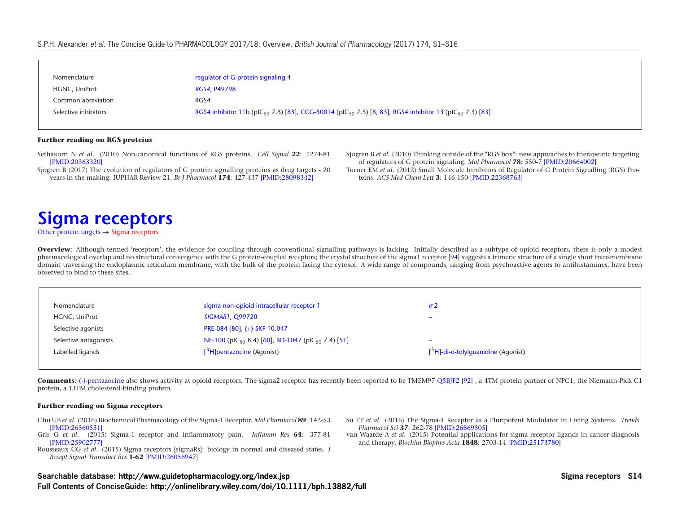#### S.P.H. Alexander et al. The Concise Guide to PHARMACOLOGY 2017/18: Overview. British Journal of Pharmacology (2017) 174, S1–S16

| regulator of G-protein signaling 4<br>Nomenclature                                                                                                                 |
|--------------------------------------------------------------------------------------------------------------------------------------------------------------------|
|                                                                                                                                                                    |
| RGS4, P49798<br>HGNC, UniProt                                                                                                                                      |
| Common abreviation<br>RGS4                                                                                                                                         |
| RGS4 inhibitor 11b (plC <sub>50</sub> 7.8) [83], CCG-50014 (plC <sub>50</sub> 7.5) [8, 83], RGS4 inhibitor 13 (plC <sub>50</sub> 7.3) [83]<br>Selective inhibitors |

#### **Further reading on RGS proteins**

<span id="page-13-0"></span>Sethakorn N *et al*. (2010) Non-canonical functions of RGS proteins. *Cell Signal* **22**: 1274-81 [\[PMID:20363320\]](http://www.ncbi.nlm.nih.gov/pubmed/20363320?dopt=AbstractPlus)

<span id="page-13-3"></span><span id="page-13-2"></span><span id="page-13-1"></span>Sjogren B (2017) The evolution of regulators of G protein signalling proteins as drug targets - 20 years in the making: IUPHAR Review 21. *Br J Pharmacol* **174**: 427-437 [\[PMID:28098342\]](http://www.ncbi.nlm.nih.gov/pubmed/28098342?dopt=AbstractPlus)

Sjogren B *et al*. (2010) Thinking outside of the "RGS box": new approaches to therapeutic targeting of regulators of G protein signaling. *Mol Pharmacol* **78**: 550-7 [\[PMID:20664002\]](http://www.ncbi.nlm.nih.gov/pubmed/20664002?dopt=AbstractPlus)

Turner EM *et al*. (2012) Small Molecule Inhibitors of Regulator of G Protein Signalling (RGS) Proteins. *ACS Med Chem Lett* **3**: 146-150 [\[PMID:22368763\]](http://www.ncbi.nlm.nih.gov/pubmed/22368763?dopt=AbstractPlus)

### **[Sigma receptors](http://www.guidetopharmacology.org/GRAC/FamilyDisplayForward?familyId=785)**

[Other protein targets](http://www.guidetopharmacology.org/GRAC/FamilyDisplayForward?familyId=864)  $\rightarrow$  [Sigma receptors](#page-13-3)

**Overview**: Although termed 'receptors', the evidence for coupling through conventional signalling pathways is lacking. Initially described as a subtype of opioid receptors, there is only a modest pharmacological overlap and no structural convergence with the G protein-coupled receptors; the crystal structure of the sigma1 receptor [\[94\]](http://www.ncbi.nlm.nih.gov/pubmed/PM:27042935?dopt=AbstractPlus) suggests a trimeric structure of a single short transmembrane domain traversing the endoplasmic reticulum membrane, with the bulk of the protein facing the cytosol. A wide range of compounds, ranging from psychoactive agents to antihistamines, have been observed to bind to these sites.

| Nomenclature          | sigma non-opioid intracellular receptor 1                                 |                                        |
|-----------------------|---------------------------------------------------------------------------|----------------------------------------|
| HGNC, UniProt         | <b>SIGMAR1, Q99720</b>                                                    | $\overline{\phantom{0}}$               |
| Selective agonists    | PRE-084 [80], (+)-SKF 10.047                                              | $\overline{\phantom{0}}$               |
| Selective antagonists | NE-100 (pIC <sub>50</sub> 8.4) [60], BD-1047 (pIC <sub>50</sub> 7.4) [51] | $\qquad \qquad -$                      |
| Labelled ligands      | $[3H]$ pentazocine (Agonist)                                              | $[^3$ H]-di-o-tolylguanidine (Agonist) |

**Comments**: [\(-\)-pentazocine](http://www.guidetopharmacology.org/GRAC/LigandDisplayForward?ligandId=1606) also shows activity at opioid receptors. The sigma2 receptor has recently been reported to be TMEM97 [Q5BJF2](http://www.uniprot.org/uniprot/Q5BJF2) [\[92\]](http://www.ncbi.nlm.nih.gov/pubmed/28559337?dopt=AbstractPlus) , a 4TM protein partner of NPC1, the Niemann-Pick C1 protein, a 13TM cholesterol-binding protein.

#### **Further reading on Sigma receptors**

- Chu UB *et al*. (2016) Biochemical Pharmacology of the Sigma-1 Receptor. *Mol Pharmacol* **89**: 142-53 [\[PMID:26560551\]](https://www.ncbi.nlm.nih.gov/pubmed/26560551)
- Gris G *et al*. (2015) Sigma-1 receptor and inflammatory pain. *Inflamm Res* **64**: 377-81 [\[PMID:25902777\]](https://www.ncbi.nlm.nih.gov/pubmed/25902777)

Rousseaux CG *et al*. (2015) Sigma receptors [sigmaRs]: biology in normal and diseased states. *J Recept Signal Transduct Res* **1-62** [\[PMID:26056947\]](https://www.ncbi.nlm.nih.gov/pubmed/26056947)

- Su TP *et al*. (2016) The Sigma-1 Receptor as a Pluripotent Modulator in Living Systems. *Trends Pharmacol Sci* **37**: 262-78 [\[PMID:26869505\]](https://www.ncbi.nlm.nih.gov/pubmed/26869505)
- van Waarde A *et al*. (2015) Potential applications for sigma receptor ligands in cancer diagnosis and therapy. *Biochim Biophys Acta* **1848**: 2703-14 [\[PMID:25173780\]](https://www.ncbi.nlm.nih.gov/pubmed/25173780)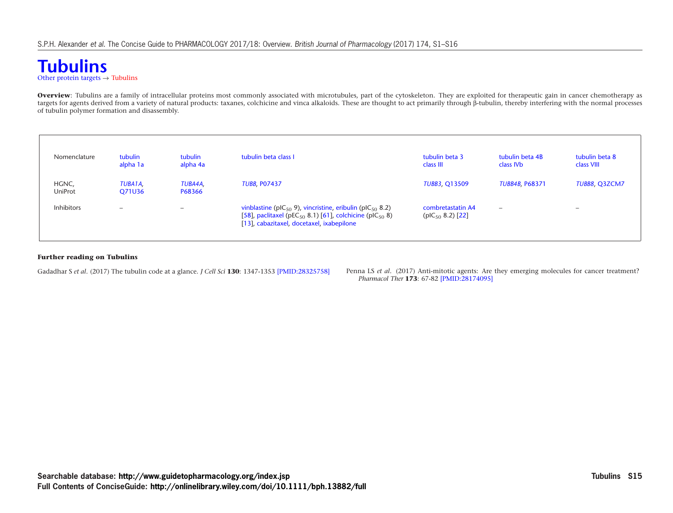### <span id="page-14-1"></span><span id="page-14-0"></span>**[Tubulins](http://www.guidetopharmacology.org/GRAC/FamilyDisplayForward?familyId=858)** [Other protein targets](http://www.guidetopharmacology.org/GRAC/FamilyDisplayForward?familyId=864)  $\rightarrow$  [Tubulins](#page-14-1)

**Overview**: Tubulins are a family of intracellular proteins most commonly associated with microtubules, part of the cytoskeleton. They are exploited for therapeutic gain in cancer chemotherapy as targets for agents derived from a variety of natural products: taxanes, colchicine and vinca alkaloids. These are thought to act primarily through β-tubulin, thereby interfering with the normal processes of tubulin polymer formation and disassembly.

| Nomenclature      | tubulin<br>alpha 1a | tubulin<br>alpha 4a      | tubulin beta class I                                                                                                                                                                                 | tubulin beta 3<br>class III                 | tubulin beta 4B<br>class IV <sub>b</sub> | tubulin beta 8<br>class VIII |
|-------------------|---------------------|--------------------------|------------------------------------------------------------------------------------------------------------------------------------------------------------------------------------------------------|---------------------------------------------|------------------------------------------|------------------------------|
| HGNC,<br>UniProt  | TUBA1A,<br>Q71U36   | TUBA4A.<br>P68366        | <b>TUBB, P07437</b>                                                                                                                                                                                  | <b>TUBB3, Q13509</b>                        | <b>TUBB4B, P68371</b>                    | TUBB8, Q3ZCM7                |
| <b>Inhibitors</b> | $\qquad \qquad$     | $\overline{\phantom{0}}$ | vinblastine (pIC $_{50}$ 9), vincristine, eribulin (pIC $_{50}$ 8.2)<br>[58], paclitaxel (pEC <sub>50</sub> 8.1) [61], colchicine (pIC <sub>50</sub> 8)<br>[13], cabazitaxel, docetaxel, ixabepilone | combretastatin A4<br>( $pIC_{50}$ 8.2) [22] | $\overline{\phantom{0}}$                 | $\overline{\phantom{a}}$     |

#### **Further reading on Tubulins**

Gadadhar S et al. (2017) The tubulin code at a glance. *J Cell Sci* 130: 1347-1353 [\[PMID:28325758\]](https://www.ncbi.nlm.nih.gov/pubmed/28325758) Penna LS et al. (2017) Anti-mitotic agents: Are they emerging molecules for cancer treatment? *Pharmacol Ther* **173**: 67-82 [\[PMID:28174095\]](https://www.ncbi.nlm.nih.gov/pubmed/28174095)